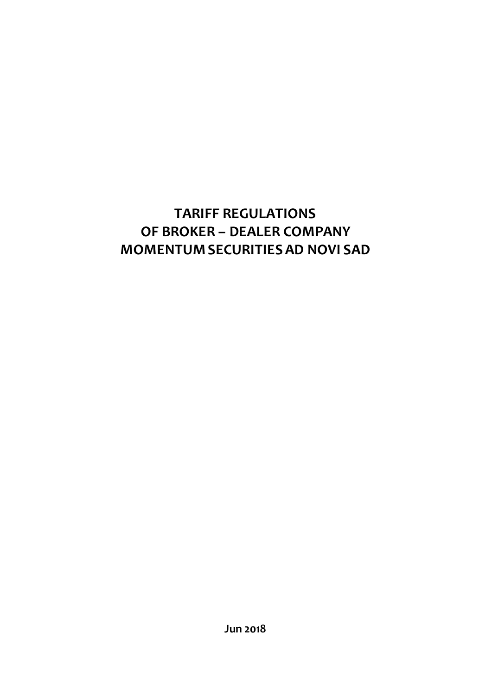# **TARIFF REGULATIONS OF BROKER – DEALER COMPANY MOMENTUM SECURITIES AD NOVI SAD**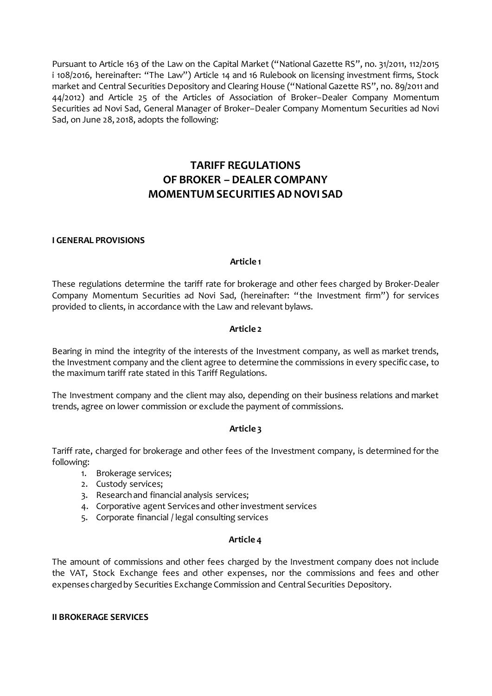Pursuant to Article 163 of the Law on the Capital Market ("National Gazette RS", no. 31/2011, 112/2015 i 108/2016, hereinafter: "The Law") Article 14 and 16 Rulebook on licensing investment firms, Stock market and Central Securities Depository and Clearing House ("National Gazette RS", no. 89/2011 and 44/2012) and Article 25 of the Articles of Association of Broker–Dealer Company Momentum Securities ad Novi Sad, General Manager of Broker–Dealer Company Momentum Securities ad Novi Sad, on June 28, 2018, adopts the following:

## **TARIFF REGULATIONS OF BROKER – DEALER COMPANY MOMENTUM SECURITIES AD NOVI SAD**

#### **I GENERAL PROVISIONS**

#### **Article 1**

These regulations determine the tariff rate for brokerage and other fees charged by Broker-Dealer Company Momentum Securities ad Novi Sad, (hereinafter: "the Investment firm") for services provided to clients, in accordance with the Law and relevant bylaws.

#### **Article 2**

Bearing in mind the integrity of the interests of the Investment company, as well as market trends, the Investment company and the client agree to determine the commissions in every specific case, to the maximum tariff rate stated in this Tariff Regulations.

The Investment company and the client may also, depending on their business relations and market trends, agree on lower commission or exclude the payment of commissions.

#### **Article 3**

Tariff rate, charged for brokerage and other fees of the Investment company, is determined for the following:

- 1. Brokerage services;
- 2. Custody services;
- 3. Research and financial analysis services;
- 4. Corporative agent Services and other investment services
- 5. Corporate financial / legal consulting services

#### **Article 4**

The amount of commissions and other fees charged by the Investment company does not include the VAT, Stock Exchange fees and other expenses, nor the commissions and fees and other expenses charged by Securities Exchange Commission and Central Securities Depository.

#### **II BROKERAGE SERVICES**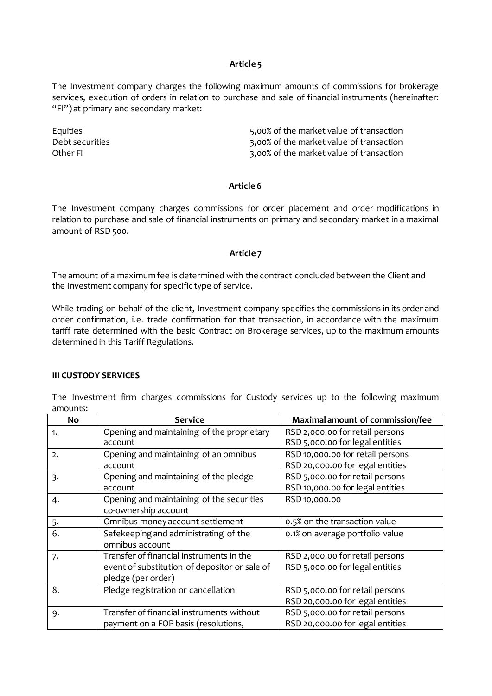#### **Article 5**

The Investment company charges the following maximum amounts of commissions for brokerage services, execution of orders in relation to purchase and sale of financial instruments (hereinafter: "FI")at primary and secondary market:

Equities 5,00% of the market value of transaction Debt securities<br>
Other FI 3,00% of the market value of transaction<br>
3,00% of the market value of transaction 3,00% of the market value of transaction

#### **Article 6**

The Investment company charges commissions for order placement and order modifications in relation to purchase and sale of financial instruments on primary and secondary market in a maximal amount of RSD 500.

#### **Article 7**

The amount of a maximum fee is determined with the contract concluded between the Client and the Investment company for specific type of service.

While trading on behalf of the client, Investment company specifies the commissions in its order and order confirmation, i.e. trade confirmation for that transaction, in accordance with the maximum tariff rate determined with the basic Contract on Brokerage services, up to the maximum amounts determined in this Tariff Regulations.

#### **III CUSTODY SERVICES**

The Investment firm charges commissions for Custody services up to the following maximum amounts:

| <b>No</b> | <b>Service</b>                                | Maximal amount of commission/fee |  |
|-----------|-----------------------------------------------|----------------------------------|--|
| 1.        | Opening and maintaining of the proprietary    | RSD 2,000.00 for retail persons  |  |
|           | account                                       | RSD 5,000.00 for legal entities  |  |
| 2.        | Opening and maintaining of an omnibus         | RSD 10,000.00 for retail persons |  |
|           | account                                       | RSD 20,000.00 for legal entities |  |
| 3.        | Opening and maintaining of the pledge         | RSD 5,000.00 for retail persons  |  |
|           | account                                       | RSD 10,000.00 for legal entities |  |
| 4.        | Opening and maintaining of the securities     | RSD 10,000.00                    |  |
|           | co-ownership account                          |                                  |  |
| 5.        | Omnibus money account settlement              | 0.5% on the transaction value    |  |
| 6.        | Safekeeping and administrating of the         | 0.1% on average portfolio value  |  |
|           | omnibus account                               |                                  |  |
| 7.        | Transfer of financial instruments in the      | RSD 2,000.00 for retail persons  |  |
|           | event of substitution of depositor or sale of | RSD 5,000.00 for legal entities  |  |
|           | pledge (per order)                            |                                  |  |
| 8.        | Pledge registration or cancellation           | RSD 5,000.00 for retail persons  |  |
|           |                                               | RSD 20,000.00 for legal entities |  |
| 9.        | Transfer of financial instruments without     | RSD 5,000.00 for retail persons  |  |
|           | payment on a FOP basis (resolutions,          | RSD 20,000.00 for legal entities |  |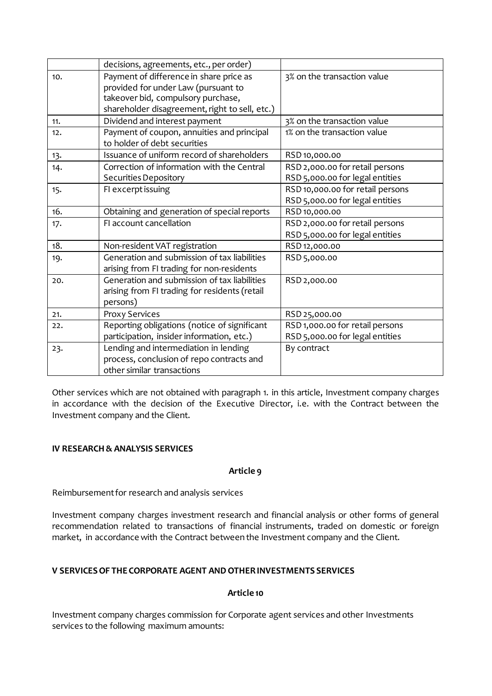|     | decisions, agreements, etc., per order)                                    |                                  |  |
|-----|----------------------------------------------------------------------------|----------------------------------|--|
| 10. | Payment of difference in share price as                                    | 3% on the transaction value      |  |
|     | provided for under Law (pursuant to                                        |                                  |  |
|     | takeover bid, compulsory purchase,                                         |                                  |  |
|     | shareholder disagreement, right to sell, etc.)                             |                                  |  |
| 11. | Dividend and interest payment                                              | 3% on the transaction value      |  |
| 12. | Payment of coupon, annuities and principal<br>to holder of debt securities | 1% on the transaction value      |  |
| 13. | Issuance of uniform record of shareholders                                 | RSD 10,000.00                    |  |
| 14. | Correction of information with the Central                                 | RSD 2,000.00 for retail persons  |  |
|     | Securities Depository                                                      | RSD 5,000.00 for legal entities  |  |
| 15. | FI excerpt issuing                                                         | RSD 10,000.00 for retail persons |  |
|     |                                                                            | RSD 5,000.00 for legal entities  |  |
| 16. | Obtaining and generation of special reports                                | RSD 10,000.00                    |  |
| 17. | FI account cancellation                                                    | RSD 2,000.00 for retail persons  |  |
|     |                                                                            | RSD 5,000.00 for legal entities  |  |
| 18. | Non-resident VAT registration                                              | RSD 12,000.00                    |  |
| 19. | Generation and submission of tax liabilities                               | RSD 5,000.00                     |  |
|     | arising from FI trading for non-residents                                  |                                  |  |
| 20. | Generation and submission of tax liabilities                               | RSD 2,000.00                     |  |
|     | arising from FI trading for residents (retail                              |                                  |  |
|     | persons)                                                                   |                                  |  |
| 21. | <b>Proxy Services</b>                                                      | RSD 25,000.00                    |  |
| 22. | Reporting obligations (notice of significant                               | RSD 1,000.00 for retail persons  |  |
|     | participation, insider information, etc.)                                  | RSD 5,000.00 for legal entities  |  |
| 23. | Lending and intermediation in lending                                      | By contract                      |  |
|     | process, conclusion of repo contracts and                                  |                                  |  |
|     | other similar transactions                                                 |                                  |  |

Other services which are not obtained with paragraph 1. in this article, Investment company charges in accordance with the decision of the Executive Director, i.e. with the Contract between the Investment company and the Client.

#### **IV RESEARCH & ANALYSIS SERVICES**

#### **Article 9**

Reimbursement for research and analysis services

Investment company charges investment research and financial analysis or other forms of general recommendation related to transactions of financial instruments, traded on domestic or foreign market, in accordance with the Contract between the Investment company and the Client.

#### **V SERVICES OF THE CORPORATE AGENT AND OTHER INVESTMENTS SERVICES**

**Article 10**

Investment company charges commission for Corporate agent services and other Investments services to the following maximum amounts: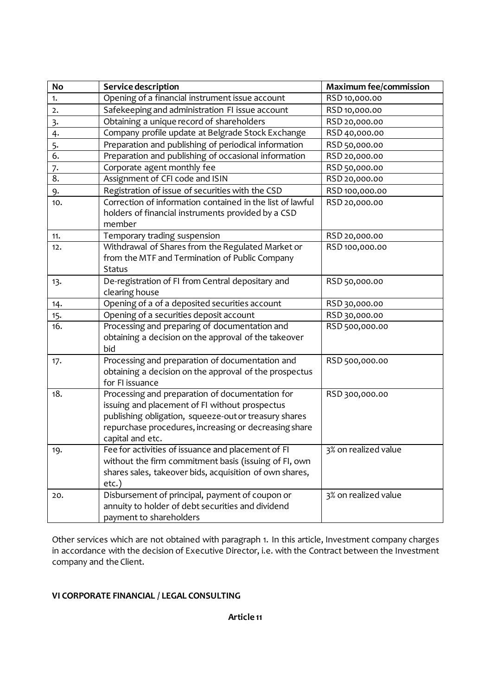| <b>No</b> | Service description                                                                                                                                                                                                                     | <b>Maximum fee/commission</b> |
|-----------|-----------------------------------------------------------------------------------------------------------------------------------------------------------------------------------------------------------------------------------------|-------------------------------|
| 1.        | Opening of a financial instrument issue account                                                                                                                                                                                         | RSD 10,000.00                 |
| 2.        | Safekeeping and administration FI issue account                                                                                                                                                                                         | RSD 10,000.00                 |
| 3.        | Obtaining a unique record of shareholders                                                                                                                                                                                               | RSD 20,000.00                 |
| 4.        | Company profile update at Belgrade Stock Exchange                                                                                                                                                                                       | RSD 40,000.00                 |
| 5.        | Preparation and publishing of periodical information                                                                                                                                                                                    | RSD 50,000.00                 |
| 6.        | Preparation and publishing of occasional information                                                                                                                                                                                    | RSD 20,000.00                 |
| 7.        | Corporate agent monthly fee                                                                                                                                                                                                             | RSD 50,000.00                 |
| 8.        | Assignment of CFI code and ISIN                                                                                                                                                                                                         | RSD 20,000.00                 |
| 9.        | Registration of issue of securities with the CSD                                                                                                                                                                                        | RSD 100,000.00                |
| 10.       | Correction of information contained in the list of lawful<br>holders of financial instruments provided by a CSD<br>member                                                                                                               | RSD 20,000.00                 |
| 11.       | Temporary trading suspension                                                                                                                                                                                                            | RSD 20,000.00                 |
| 12.       | Withdrawal of Shares from the Regulated Market or<br>from the MTF and Termination of Public Company<br><b>Status</b>                                                                                                                    | RSD 100,000.00                |
| 13.       | De-registration of FI from Central depositary and<br>clearing house                                                                                                                                                                     | RSD 50,000.00                 |
| 14.       | Opening of a of a deposited securities account                                                                                                                                                                                          | RSD 30,000.00                 |
| 15.       | Opening of a securities deposit account                                                                                                                                                                                                 | RSD 30,000.00                 |
| 16.       | Processing and preparing of documentation and<br>obtaining a decision on the approval of the takeover<br>bid                                                                                                                            | RSD 500,000.00                |
| 17.       | Processing and preparation of documentation and<br>obtaining a decision on the approval of the prospectus<br>for FI issuance                                                                                                            | RSD 500,000.00                |
| 18.       | Processing and preparation of documentation for<br>issuing and placement of FI without prospectus<br>publishing obligation, squeeze-out or treasury shares<br>repurchase procedures, increasing or decreasing share<br>capital and etc. | RSD 300,000.00                |
| 19.       | Fee for activities of issuance and placement of FI<br>without the firm commitment basis (issuing of FI, own<br>shares sales, takeover bids, acquisition of own shares,<br>etc.)                                                         | 3% on realized value          |
| 20.       | Disbursement of principal, payment of coupon or<br>annuity to holder of debt securities and dividend<br>payment to shareholders                                                                                                         | 3% on realized value          |

Other services which are not obtained with paragraph 1. In this article, Investment company charges in accordance with the decision of Executive Director, i.e. with the Contract between the Investment company and the Client.

## **VI CORPORATE FINANCIAL / LEGAL CONSULTING**